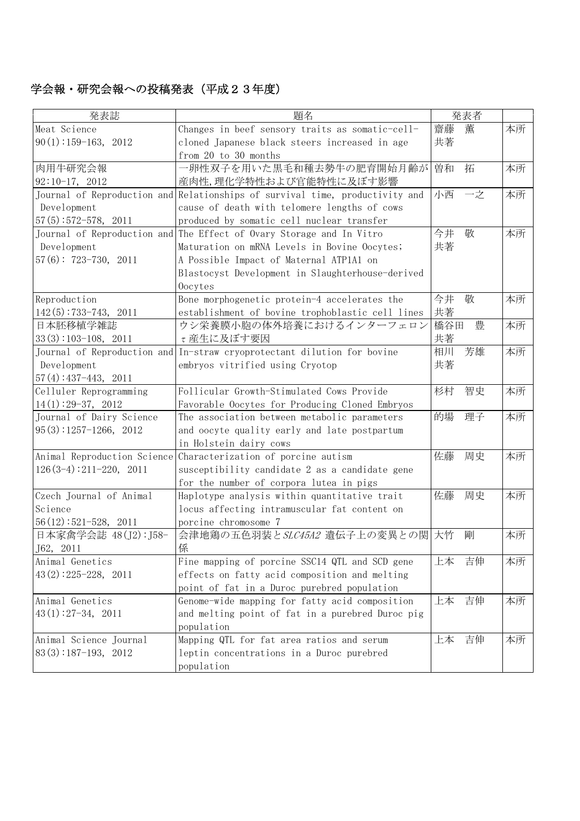## 学会報・研究会報への投稿発表(平成23年度)

| 発表誌                       | 題名                                                                           | 発表者     |    |    |
|---------------------------|------------------------------------------------------------------------------|---------|----|----|
| Meat Science              | Changes in beef sensory traits as somatic-cell-                              | 齋藤<br>薫 |    | 本所 |
| $90(1):159-163$ , 2012    | cloned Japanese black steers increased in age                                | 共著      |    |    |
|                           | from 20 to 30 months                                                         |         |    |    |
| 肉用牛研究会報                   | 一卵性双子を用いた黒毛和種去勢牛の肥育開始月齢が                                                     | 曽和<br>拓 |    | 本所 |
| $92:10-17, 2012$          | 産肉性,理化学特性および官能特性に及ぼす影響                                                       |         |    |    |
|                           | Journal of Reproduction and Relationships of survival time, productivity and | 小西      | 一之 | 本所 |
| Development               | cause of death with telomere lengths of cows                                 |         |    |    |
| $57(5): 572 - 578, 2011$  | produced by somatic cell nuclear transfer                                    |         |    |    |
|                           | Journal of Reproduction and The Effect of Ovary Storage and In Vitro         | 今井<br>敬 |    | 本所 |
| Development               | Maturation on mRNA Levels in Bovine Oocytes;                                 | 共著      |    |    |
| $57(6): 723-730, 2011$    | A Possible Impact of Maternal ATP1A1 on                                      |         |    |    |
|                           | Blastocyst Development in Slaughterhouse-derived                             |         |    |    |
|                           | Oocytes                                                                      |         |    |    |
| Reproduction              | Bone morphogenetic protein-4 accelerates the                                 | 今井<br>敬 |    | 本所 |
| $142(5):733-743, 2011$    | establishment of bovine trophoblastic cell lines                             | 共著      |    |    |
| 日本胚移植学雑誌                  | ウシ栄養膜小胞の体外培養におけるインターフェロン                                                     | 橋谷田     | 豊  | 本所 |
| $33(3):103-108$ , 2011    | τ産生に及ぼす要因                                                                    | 共著      |    |    |
|                           | Journal of Reproduction and In-straw cryoprotectant dilution for bovine      | 相川      | 芳雄 | 本所 |
| Development               | embryos vitrified using Cryotop                                              | 共著      |    |    |
| $57(4): 437-443, 2011$    |                                                                              |         |    |    |
| Celluler Reprogramming    | Follicular Growth-Stimulated Cows Provide                                    | 杉村      | 智史 | 本所 |
| $14(1):29-37, 2012$       | Favorable Oocytes for Producing Cloned Embryos                               |         |    |    |
| Journal of Dairy Science  | The association between metabolic parameters                                 | 的場      | 理子 | 本所 |
| $95(3):1257-1266$ , 2012  | and oocyte quality early and late postpartum                                 |         |    |    |
|                           | in Holstein dairy cows                                                       |         |    |    |
|                           | Animal Reproduction Science Characterization of porcine autism               | 佐藤      | 周史 | 本所 |
| $126(3-4):211-220$ , 2011 | susceptibility candidate 2 as a candidate gene                               |         |    |    |
|                           | for the number of corpora lutea in pigs                                      |         |    |    |
| Czech Journal of Animal   | Haplotype analysis within quantitative trait                                 | 佐藤      | 周史 | 本所 |
| Science                   | locus affecting intramuscular fat content on                                 |         |    |    |
| $56(12):521-528$ , 2011   | porcine chromosome 7                                                         |         |    |    |
| 日本家禽学会誌 48(J2): J58-      | 会津地鶏の五色羽装とSLC45A2 遺伝子上の変異との関 大竹                                              | 剛       |    | 本所 |
| J62, 2011                 | 係                                                                            |         |    |    |
| Animal Genetics           | Fine mapping of porcine SSC14 QTL and SCD gene                               | 上本      | 吉伸 | 本所 |
| $43(2):225-228$ , 2011    | effects on fatty acid composition and melting                                |         |    |    |
|                           | point of fat in a Duroc purebred population                                  |         |    |    |
| Animal Genetics           | Genome-wide mapping for fatty acid composition                               | 上本      | 吉伸 | 本所 |
| $43(1):27-34$ , 2011      | and melting point of fat in a purebred Duroc pig                             |         |    |    |
|                           | population                                                                   |         |    |    |
| Animal Science Journal    | Mapping QTL for fat area ratios and serum                                    | 上本      | 吉伸 | 本所 |
| $83(3):187-193$ , 2012    | leptin concentrations in a Duroc purebred                                    |         |    |    |
|                           | population                                                                   |         |    |    |